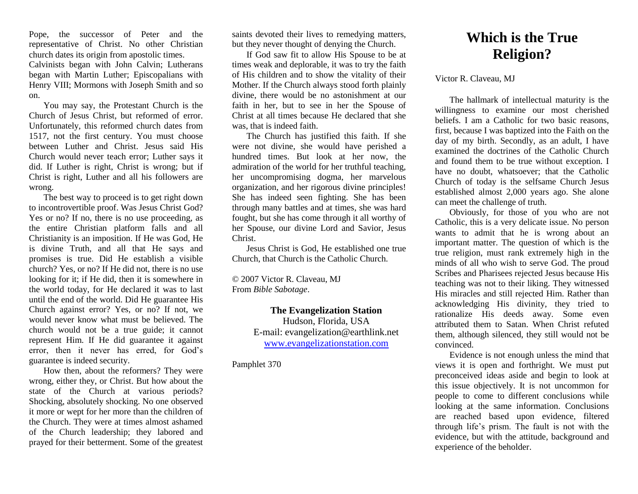Pope, the successor of Peter and the representative of Christ. No other Christian church dates its origin from apostolic times. Calvinists began with John Calvin; Lutherans began with Martin Luther; Episcopalians with Henry VIII; Mormons with Joseph Smith and so on.

You may say, the Protestant Church is the Church of Jesus Christ, but reformed of error. Unfortunately, this reformed church dates from 1517, not the first century. You must choose between Luther and Christ. Jesus said His Church would never teach error; Luther says it did. If Luther is right, Christ is wrong; but if Christ is right, Luther and all his followers are wrong.

The best way to proceed is to get right down to incontrovertible proof. Was Jesus Christ God? Yes or no? If no, there is no use proceeding, as the entire Christian platform falls and all Christianity is an imposition. If He was God, He is divine Truth, and all that He says and promises is true. Did He establish a visible church? Yes, or no? If He did not, there is no use looking for it; if He did, then it is somewhere in the world today, for He declared it was to last until the end of the world. Did He guarantee His Church against error? Yes, or no? If not, we would never know what must be believed. The church would not be a true guide; it cannot represent Him. If He did guarantee it against error, then it never has erred, for God's guarantee is indeed security.

How then, about the reformers? They were wrong, either they, or Christ. But how about the state of the Church at various periods? Shocking, absolutely shocking. No one observed it more or wept for her more than the children of the Church. They were at times almost ashamed of the Church leadership; they labored and prayed for their betterment. Some of the greatest

saints devoted their lives to remedying matters, but they never thought of denying the Church.

If God saw fit to allow His Spouse to be at times weak and deplorable, it was to try the faith of His children and to show the vitality of their Mother. If the Church always stood forth plainly divine, there would be no astonishment at our faith in her, but to see in her the Spouse of Christ at all times because He declared that she was, that is indeed faith.

The Church has justified this faith. If she were not divine, she would have perished a hundred times. But look at her now, the admiration of the world for her truthful teaching, her uncompromising dogma, her marvelous organization, and her rigorous divine principles! She has indeed seen fighting. She has been through many battles and at times, she was hard fought, but she has come through it all worthy of her Spouse, our divine Lord and Savior, Jesus Christ.

Jesus Christ is God, He established one true Church, that Church is the Catholic Church.

© 2007 Victor R. Claveau, MJ From *Bible Sabotage*.

> **The Evangelization Station**  Hudson, Florida, USA E-mail: evangelization@earthlink.net [www.evangelizationstation.com](http://www.pjpiisoe.org/)

Pamphlet 370

## **Which is the True Religion?**

Victor R. Claveau, MJ

The hallmark of intellectual maturity is the willingness to examine our most cherished beliefs. I am a Catholic for two basic reasons, first, because I was baptized into the Faith on the day of my birth. Secondly, as an adult, I have examined the doctrines of the Catholic Church and found them to be true without exception. I have no doubt, whatsoever; that the Catholic Church of today is the selfsame Church Jesus established almost 2,000 years ago. She alone can meet the challenge of truth.

Obviously, for those of you who are not Catholic, this is a very delicate issue. No person wants to admit that he is wrong about an important matter. The question of which is the true religion, must rank extremely high in the minds of all who wish to serve God. The proud Scribes and Pharisees rejected Jesus because His teaching was not to their liking. They witnessed His miracles and still rejected Him. Rather than acknowledging His divinity, they tried to rationalize His deeds away. Some even attributed them to Satan. When Christ refuted them, although silenced, they still would not be convinced.

Evidence is not enough unless the mind that views it is open and forthright. We must put preconceived ideas aside and begin to look at this issue objectively. It is not uncommon for people to come to different conclusions while looking at the same information. Conclusions are reached based upon evidence, filtered through life's prism. The fault is not with the evidence, but with the attitude, background and experience of the beholder.